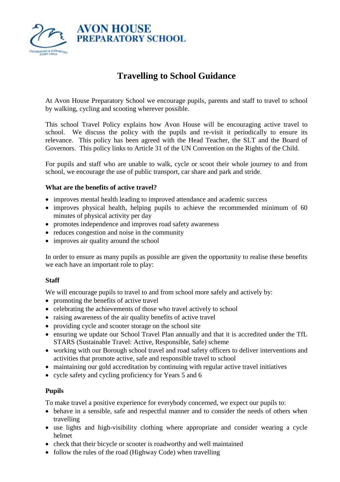

# **Travelling to School Guidance**

At Avon House Preparatory School we encourage pupils, parents and staff to travel to school by walking, cycling and scooting wherever possible.

This school Travel Policy explains how Avon House will be encouraging active travel to school. We discuss the policy with the pupils and re-visit it periodically to ensure its relevance. This policy has been agreed with the Head Teacher, the SLT and the Board of Governors. This policy links to Article 31 of the UN Convention on the Rights of the Child.

For pupils and staff who are unable to walk, cycle or scoot their whole journey to and from school, we encourage the use of public transport, car share and park and stride.

### **What are the benefits of active travel?**

- improves mental health leading to improved attendance and academic success
- improves physical health, helping pupils to achieve the recommended minimum of 60 minutes of physical activity per day
- promotes independence and improves road safety awareness
- reduces congestion and noise in the community
- improves air quality around the school

In order to ensure as many pupils as possible are given the opportunity to realise these benefits we each have an important role to play:

# **Staff**

We will encourage pupils to travel to and from school more safely and actively by:

- promoting the benefits of active travel
- celebrating the achievements of those who travel actively to school
- raising awareness of the air quality benefits of active travel
- providing cycle and scooter storage on the school site
- ensuring we update our School Travel Plan annually and that it is accredited under the TfL STARS (Sustainable Travel: Active, Responsible, Safe) scheme
- working with our Borough school travel and road safety officers to deliver interventions and activities that promote active, safe and responsible travel to school
- maintaining our gold accreditation by continuing with regular active travel initiatives
- cycle safety and cycling proficiency for Years 5 and 6

# **Pupils**

To make travel a positive experience for everybody concerned, we expect our pupils to:

- behave in a sensible, safe and respectful manner and to consider the needs of others when travelling
- use lights and high-visibility clothing where appropriate and consider wearing a cycle helmet
- check that their bicycle or scooter is roadworthy and well maintained
- follow the rules of the road (Highway Code) when travelling